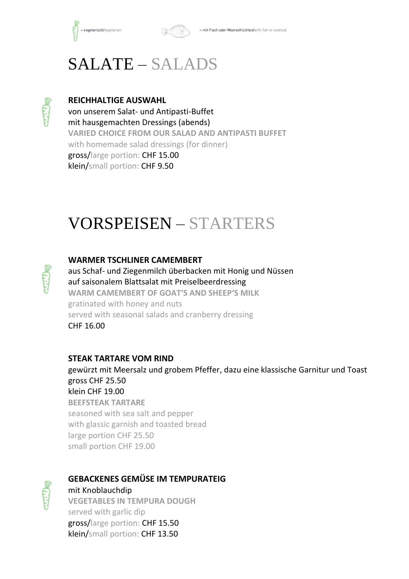

# SALATE – SALADS



#### **REICHHALTIGE AUSWAHL**

von unserem Salat- und Antipasti-Buffet mit hausgemachten Dressings (abends) **VARIED CHOICE FROM OUR SALAD AND ANTIPASTI BUFFET** with homemade salad dressings (for dinner) gross/large portion: CHF 15.00 klein/small portion: CHF 9.50

## VORSPEISEN – STARTERS

#### **WARMER TSCHLINER CAMEMBERT**

aus Schaf- und Ziegenmilch überbacken mit Honig und Nüssen auf saisonalem Blattsalat mit Preiselbeerdressing **WARM CAMEMBERT OF GOAT'S AND SHEEP'S MILK** gratinated with honey and nuts served with seasonal salads and cranberry dressing CHF 16.00

### **STEAK TARTARE VOM RIND**

gewürzt mit Meersalz und grobem Pfeffer, dazu eine klassische Garnitur und Toast gross CHF 25.50 klein CHF 19.00 **BEEFSTEAK TARTARE** seasoned with sea salt and pepper with glassic garnish and toasted bread large portion CHF 25.50 small portion CHF 19.00



### **GEBACKENES GEMÜSE IM TEMPURATEIG**

mit Knoblauchdip **VEGETABLES IN TEMPURA DOUGH** served with garlic dip gross/large portion: CHF 15.50 klein/small portion: CHF 13.50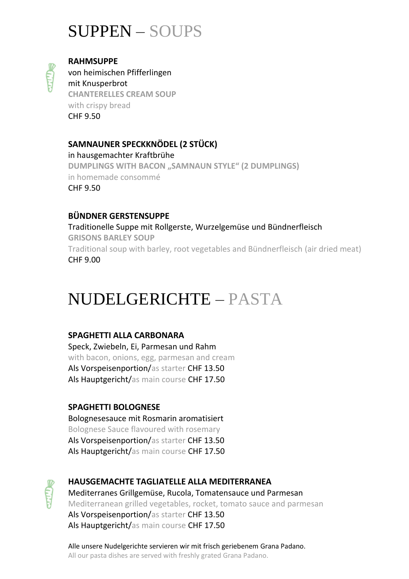## SUPPEN – SOUPS



**RAHMSUPPE**

von heimischen Pfifferlingen mit Knusperbrot **CHANTERELLES CREAM SOUP** with crispy bread CHF 9.50

## **SAMNAUNER SPECKKNÖDEL (2 STÜCK)**

in hausgemachter Kraftbrühe **DUMPLINGS WITH BACON "SAMNAUN STYLE" (2 DUMPLINGS)** in homemade consommé CHF 9.50

## **BÜNDNER GERSTENSUPPE**

Traditionelle Suppe mit Rollgerste, Wurzelgemüse und Bündnerfleisch **GRISONS BARLEY SOUP** Traditional soup with barley, root vegetables and Bündnerfleisch (air dried meat) CHF 9.00

## NUDELGERICHTE – PASTA

## **SPAGHETTI ALLA CARBONARA**

Speck, Zwiebeln, Ei, Parmesan und Rahm with bacon, onions, egg, parmesan and cream Als Vorspeisenportion/as starter CHF 13.50 Als Hauptgericht/as main course CHF 17.50

## **SPAGHETTI BOLOGNESE**

Bolognesesauce mit Rosmarin aromatisiert Bolognese Sauce flavoured with rosemary Als Vorspeisenportion/as starter CHF 13.50 Als Hauptgericht/as main course CHF 17.50



## **HAUSGEMACHTE TAGLIATELLE ALLA MEDITERRANEA** Mediterranes Grillgemüse, Rucola, Tomatensauce und Parmesan Mediterranean grilled vegetables, rocket, tomato sauce and parmesan Als Vorspeisenportion/as starter CHF 13.50

Als Hauptgericht/as main course CHF 17.50

Alle unsere Nudelgerichte servieren wir mit frisch geriebenem Grana Padano. All our pasta dishes are served with freshly grated Grana Padano.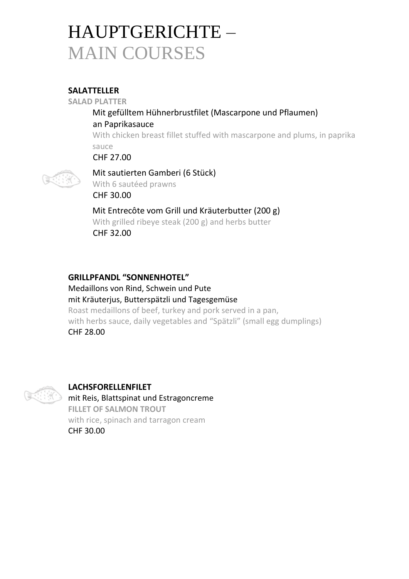# HAUPTGERICHTE – MAIN COURSES

## **SALATTELLER**

**SALAD PLATTER**

## Mit gefülltem Hühnerbrustfilet (Mascarpone und Pflaumen) an Paprikasauce

With chicken breast fillet stuffed with mascarpone and plums, in paprika sauce

CHF 27.00



Mit sautierten Gamberi (6 Stück) With 6 sautéed prawns CHF 30.00

Mit Entrecôte vom Grill und Kräuterbutter (200 g) With grilled ribeye steak (200 g) and herbs butter CHF 32.00

### **GRILLPFANDL "SONNENHOTEL"**

Medaillons von Rind, Schwein und Pute mit Kräuterjus, Butterspätzli und Tagesgemüse Roast medaillons of beef, turkey and pork served in a pan, with herbs sauce, daily vegetables and "Spätzli" (small egg dumplings) CHF 28.00



## **LACHSFORELLENFILET**

mit Reis, Blattspinat und Estragoncreme **FILLET OF SALMON TROUT** with rice, spinach and tarragon cream CHF 30.00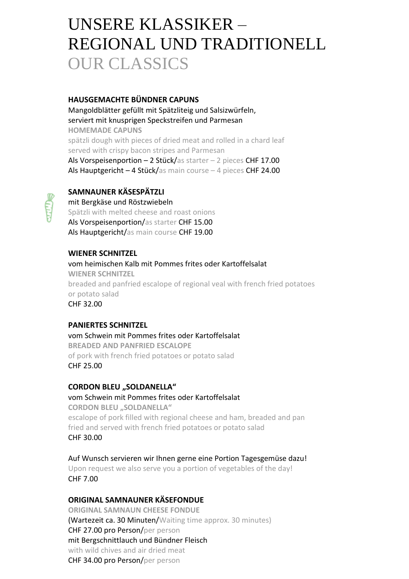## UNSERE KLASSIKER – REGIONAL UND TRADITIONELL OUR CLASSICS

#### **HAUSGEMACHTE BÜNDNER CAPUNS**

Mangoldblätter gefüllt mit Spätzliteig und Salsizwürfeln, serviert mit knusprigen Speckstreifen und Parmesan **HOMEMADE CAPUNS** spätzli dough with pieces of dried meat and rolled in a chard leaf served with crispy bacon stripes and Parmesan Als Vorspeisenportion  $-2$  Stück/as starter  $-2$  pieces CHF 17.00 Als Hauptgericht - 4 Stück/as main course - 4 pieces CHF 24.00

### **SAMNAUNER KÄSESPÄTZLI**

mit Bergkäse und Röstzwiebeln Spätzli with melted cheese and roast onions Als Vorspeisenportion/as starter CHF 15.00 Als Hauptgericht/as main course CHF 19.00

#### **WIENER SCHNITZEL**

vom heimischen Kalb mit Pommes frites oder Kartoffelsalat **WIENER SCHNITZEL** breaded and panfried escalope of regional veal with french fried potatoes or potato salad CHF 32.00

#### **PANIERTES SCHNITZEL**

vom Schwein mit Pommes frites oder Kartoffelsalat **BREADED AND PANFRIED ESCALOPE** of pork with french fried potatoes or potato salad CHF 25.00

#### **CORDON BLEU "SOLDANELLA"**

vom Schwein mit Pommes frites oder Kartoffelsalat **CORDON BLEU "SOLDANELLA"** escalope of pork filled with regional cheese and ham, breaded and pan fried and served with french fried potatoes or potato salad CHF 30.00

Auf Wunsch servieren wir Ihnen gerne eine Portion Tagesgemüse dazu! Upon request we also serve you a portion of vegetables of the day! CHF 7.00

#### **ORIGINAL SAMNAUNER KÄSEFONDUE**

**ORIGINAL SAMNAUN CHEESE FONDUE** (Wartezeit ca. 30 Minuten/Waiting time approx. 30 minutes) CHF 27.00 pro Person/per person mit Bergschnittlauch und Bündner Fleisch with wild chives and air dried meat CHF 34.00 pro Person/per person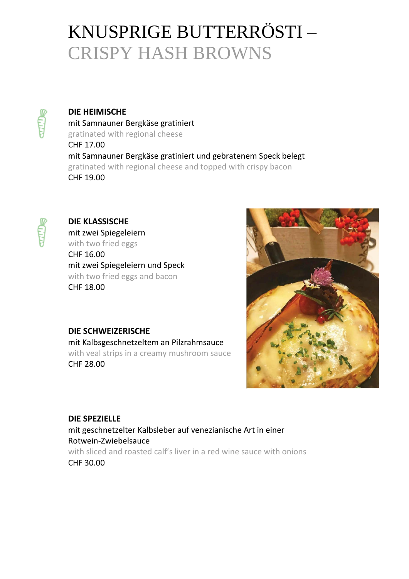# KNUSPRIGE BUTTERRÖSTI – CRISPY HASH BROWNS

**DIE HEIMISCHE** mit Samnauner Bergkäse gratiniert gratinated with regional cheese CHF 17.00 mit Samnauner Bergkäse gratiniert und gebratenem Speck belegt gratinated with regional cheese and topped with crispy bacon CHF 19.00



## **DIE KLASSISCHE**

mit zwei Spiegeleiern with two fried eggs CHF 16.00

mit zwei Spiegeleiern und Speck with two fried eggs and bacon CHF 18.00

## **DIE SCHWEIZERISCHE**

mit Kalbsgeschnetzeltem an Pilzrahmsauce with veal strips in a creamy mushroom sauce CHF 28.00



### **DIE SPEZIELLE**

mit geschnetzelter Kalbsleber auf venezianische Art in einer Rotwein-Zwiebelsauce with sliced and roasted calf's liver in a red wine sauce with onions

CHF 30.00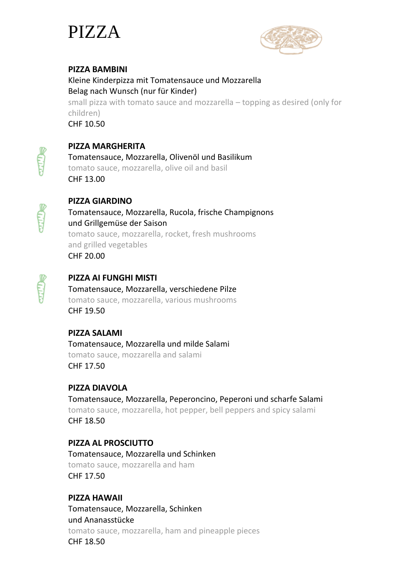



### **PIZZA BAMBINI**

Kleine Kinderpizza mit Tomatensauce und Mozzarella Belag nach Wunsch (nur für Kinder) small pizza with tomato sauce and mozzarella – topping as desired (only for children) CHF 10.50



**PIZZA MARGHERITA**

Tomatensauce, Mozzarella, Olivenöl und Basilikum tomato sauce, mozzarella, olive oil and basil CHF 13.00



## **PIZZA GIARDINO**

Tomatensauce, Mozzarella, Rucola, frische Champignons und Grillgemüse der Saison tomato sauce, mozzarella, rocket, fresh mushrooms and grilled vegetables CHF 20.00



## **PIZZA AI FUNGHI MISTI**

Tomatensauce, Mozzarella, verschiedene Pilze tomato sauce, mozzarella, various mushrooms CHF 19.50

**PIZZA SALAMI** Tomatensauce, Mozzarella und milde Salami tomato sauce, mozzarella and salami CHF 17.50

## **PIZZA DIAVOLA**

Tomatensauce, Mozzarella, Peperoncino, Peperoni und scharfe Salami tomato sauce, mozzarella, hot pepper, bell peppers and spicy salami CHF 18.50

### **PIZZA AL PROSCIUTTO**

Tomatensauce, Mozzarella und Schinken tomato sauce, mozzarella and ham CHF 17.50

### **PIZZA HAWAII**

Tomatensauce, Mozzarella, Schinken und Ananasstücke tomato sauce, mozzarella, ham and pineapple pieces CHF 18.50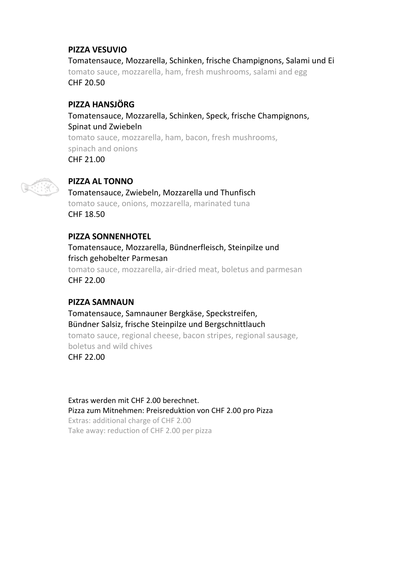## **PIZZA VESUVIO**

Tomatensauce, Mozzarella, Schinken, frische Champignons, Salami und Ei tomato sauce, mozzarella, ham, fresh mushrooms, salami and egg CHF 20.50

## **PIZZA HANSJÖRG**

Tomatensauce, Mozzarella, Schinken, Speck, frische Champignons, Spinat und Zwiebeln tomato sauce, mozzarella, ham, bacon, fresh mushrooms, spinach and onions CHF 21.00



#### **PIZZA AL TONNO**

Tomatensauce, Zwiebeln, Mozzarella und Thunfisch tomato sauce, onions, mozzarella, marinated tuna CHF 18.50

#### **PIZZA SONNENHOTEL**

Tomatensauce, Mozzarella, Bündnerfleisch, Steinpilze und frisch gehobelter Parmesan tomato sauce, mozzarella, air-dried meat, boletus and parmesan CHF 22.00

#### **PIZZA SAMNAUN**

Tomatensauce, Samnauner Bergkäse, Speckstreifen, Bündner Salsiz, frische Steinpilze und Bergschnittlauch tomato sauce, regional cheese, bacon stripes, regional sausage, boletus and wild chives CHF 22.00

Extras werden mit CHF 2.00 berechnet. Pizza zum Mitnehmen: Preisreduktion von CHF 2.00 pro Pizza

Extras: additional charge of CHF 2.00 Take away: reduction of CHF 2.00 per pizza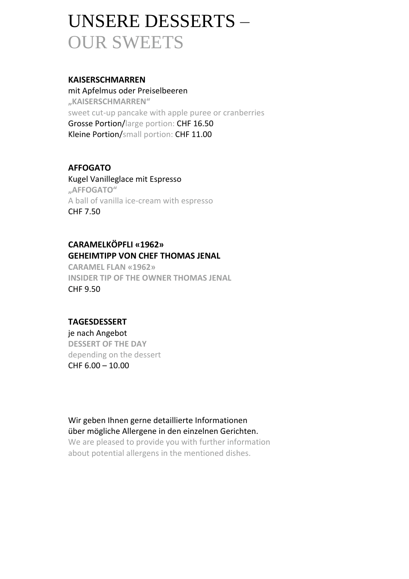# UNSERE DESSERTS – OUR SWEETS

#### **KAISERSCHMARREN**

mit Apfelmus oder Preiselbeeren **"KAISERSCHMARREN"** sweet cut-up pancake with apple puree or cranberries Grosse Portion/large portion: CHF 16.50 Kleine Portion/small portion: CHF 11.00

## **AFFOGATO**

Kugel Vanilleglace mit Espresso **"AFFOGATO"** A ball of vanilla ice-cream with espresso CHF 7.50

## **CARAMELKÖPFLI «1962» GEHEIMTIPP VON CHEF THOMAS JENAL**

**CARAMEL FLAN «1962» INSIDER TIP OF THE OWNER THOMAS JENAL** CHF 9.50

### **TAGESDESSERT**

je nach Angebot **DESSERT OF THE DAY** depending on the dessert CHF 6.00 – 10.00

## Wir geben Ihnen gerne detaillierte Informationen über mögliche Allergene in den einzelnen Gerichten.

We are pleased to provide you with further information about potential allergens in the mentioned dishes.